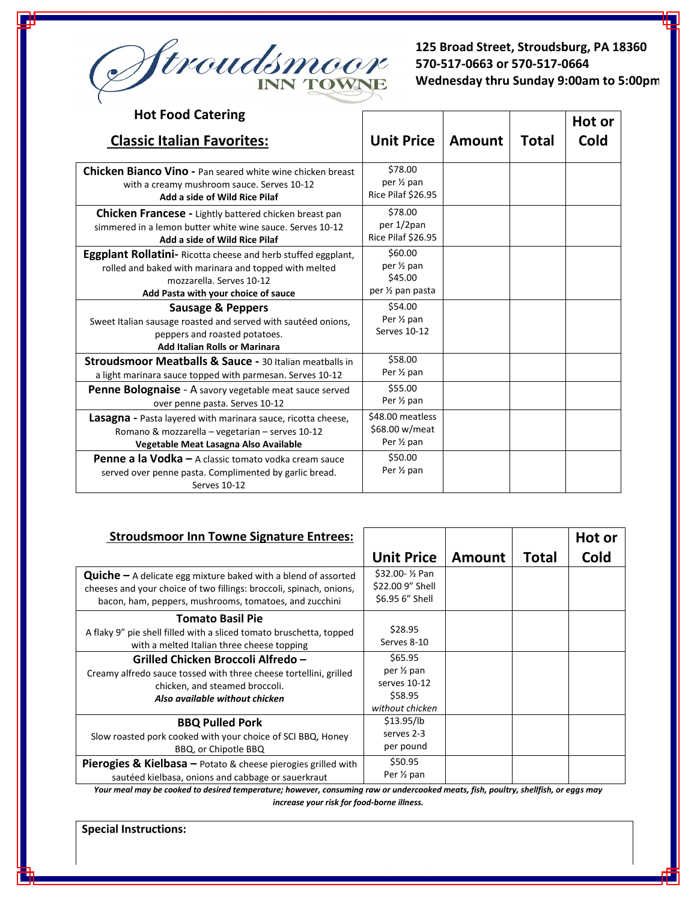

**125 Broad Street, Stroudsburg, PA 18360 570-517-0663 or 570-517-0664 Wednesday thru Sunday 9:00am to 5:00pm**

| <b>Hot Food Catering</b>                                                                                                                                                                         |                                                                    |               |              |        |
|--------------------------------------------------------------------------------------------------------------------------------------------------------------------------------------------------|--------------------------------------------------------------------|---------------|--------------|--------|
|                                                                                                                                                                                                  |                                                                    |               |              | Hot or |
| <b>Classic Italian Favorites:</b>                                                                                                                                                                | <b>Unit Price</b>                                                  | <b>Amount</b> | <b>Total</b> | Cold   |
|                                                                                                                                                                                                  |                                                                    |               |              |        |
| <b>Chicken Bianco Vino - Pan seared white wine chicken breast</b><br>with a creamy mushroom sauce. Serves 10-12<br>Add a side of Wild Rice Pilaf                                                 | \$78.00<br>per 1/2 pan<br>Rice Pilaf \$26.95                       |               |              |        |
| Chicken Francese - Lightly battered chicken breast pan<br>simmered in a lemon butter white wine sauce. Serves 10-12<br>Add a side of Wild Rice Pilaf                                             | \$78.00<br>per 1/2pan<br>Rice Pilaf \$26.95                        |               |              |        |
| <b>Eggplant Rollatini-</b> Ricotta cheese and herb stuffed eggplant,<br>rolled and baked with marinara and topped with melted<br>mozzarella. Serves 10-12<br>Add Pasta with your choice of sauce | \$60.00<br>per 1/ <sub>2</sub> pan<br>\$45.00<br>per 1/2 pan pasta |               |              |        |
| Sausage & Peppers<br>Sweet Italian sausage roasted and served with sautéed onions,<br>peppers and roasted potatoes.<br><b>Add Italian Rolls or Marinara</b>                                      | \$54.00<br>Per 1/ <sub>2</sub> pan<br>Serves 10-12                 |               |              |        |
| <b>Stroudsmoor Meatballs &amp; Sauce - 30 Italian meatballs in</b><br>a light marinara sauce topped with parmesan. Serves 10-12                                                                  | \$58.00<br>Per 1/ <sub>2</sub> pan                                 |               |              |        |
| Penne Bolognaise - A savory vegetable meat sauce served<br>over penne pasta. Serves 10-12                                                                                                        | \$55.00<br>Per 1/2 pan                                             |               |              |        |
| <b>Lasagna</b> - Pasta layered with marinara sauce, ricotta cheese,<br>Romano & mozzarella - vegetarian - serves 10-12<br>Vegetable Meat Lasagna Also Available                                  | \$48.00 meatless<br>\$68.00 w/meat<br>Per 1/ <sub>2</sub> pan      |               |              |        |
| <b>Penne a la Vodka</b> – A classic tomato vodka cream sauce<br>served over penne pasta. Complimented by garlic bread.<br><b>Serves 10-12</b>                                                    | \$50.00<br>Per 1/2 pan                                             |               |              |        |

| <b>Stroudsmoor Inn Towne Signature Entrees:</b>                                                                                                                                                          |                                                                                  |        |              | Hot or |
|----------------------------------------------------------------------------------------------------------------------------------------------------------------------------------------------------------|----------------------------------------------------------------------------------|--------|--------------|--------|
|                                                                                                                                                                                                          | <b>Unit Price</b>                                                                | Amount | <b>Total</b> | Cold   |
| <b>Quiche</b> $-$ A delicate egg mixture baked with a blend of assorted<br>cheeses and your choice of two fillings: broccoli, spinach, onions,<br>bacon, ham, peppers, mushrooms, tomatoes, and zucchini | \$32.00- ½ Pan<br>\$22.00 9" Shell<br>\$6.95 6" Shell                            |        |              |        |
| <b>Tomato Basil Pie</b><br>A flaky 9" pie shell filled with a sliced tomato bruschetta, topped<br>with a melted Italian three cheese topping                                                             | \$28.95<br>Serves 8-10                                                           |        |              |        |
| Grilled Chicken Broccoli Alfredo -<br>Creamy alfredo sauce tossed with three cheese tortellini, grilled<br>chicken, and steamed broccoli.<br>Also available without chicken                              | \$65.95<br>per 1/ <sub>2</sub> pan<br>serves 10-12<br>\$58.95<br>without chicken |        |              |        |
| <b>BBQ Pulled Pork</b><br>Slow roasted pork cooked with your choice of SCI BBQ, Honey<br>BBQ, or Chipotle BBQ                                                                                            | \$13.95/lb<br>serves 2-3<br>per pound                                            |        |              |        |
| <b>Pierogies &amp; Kielbasa</b> $-$ Potato & cheese pierogies grilled with<br>sautéed kielbasa, onions and cabbage or sauerkraut                                                                         | \$50.95<br>Per 1/2 pan                                                           |        |              |        |

*Your meal may be cooked to desired temperature; however, consuming raw or undercooked meats, fish, poultry, shellfish, or eggs may increase your risk for food-borne illness.* 

**Special Instructions:**